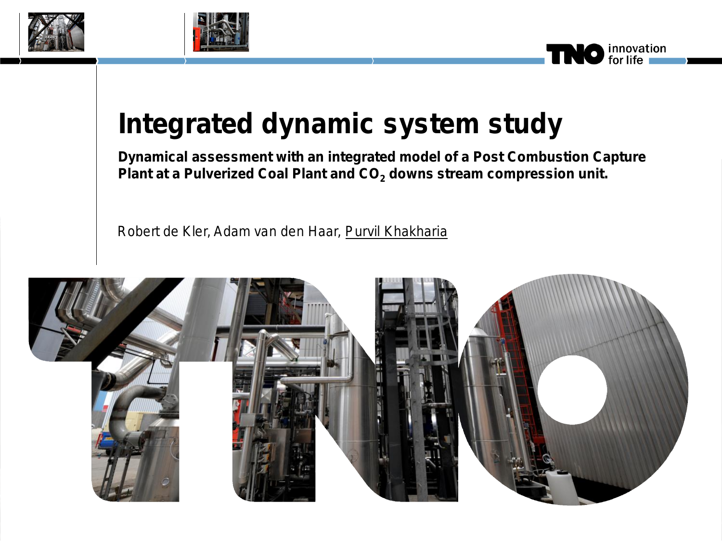





# **Integrated dynamic system study**

**Dynamical assessment with an integrated model of a Post Combustion Capture**  Plant at a Pulverized Coal Plant and CO<sub>2</sub> downs stream compression unit.

Robert de Kler, Adam van den Haar, Purvil Khakharia

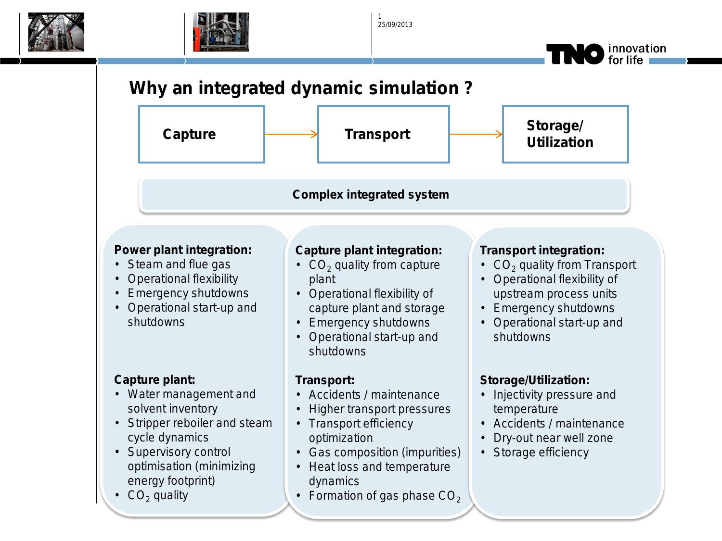



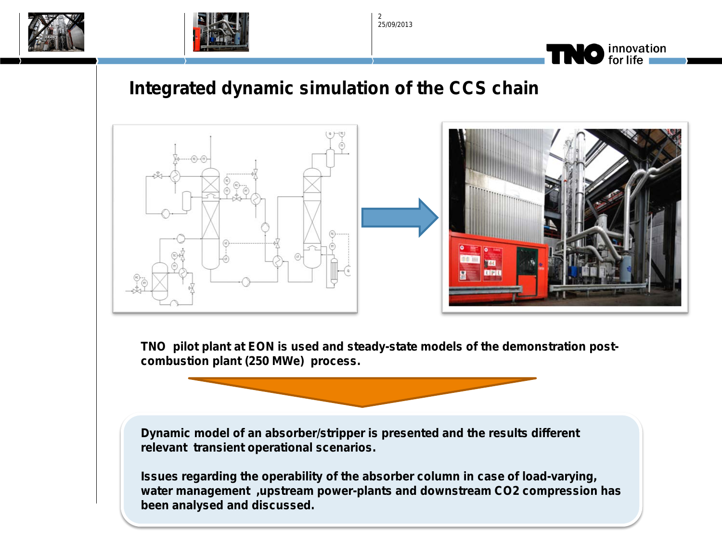



25/09/2013  $\overline{2}$ 



#### **Integrated dynamic simulation of the CCS chain**



**TNO pilot plant at EON is used and steady-state models of the demonstration postcombustion plant (250 MWe) process.** 

**Dynamic model of an absorber/stripper is presented and the results different relevant transient operational scenarios.** 

**Issues regarding the operability of the absorber column in case of load-varying, water management ,upstream power-plants and downstream CO2 compression has been analysed and discussed.**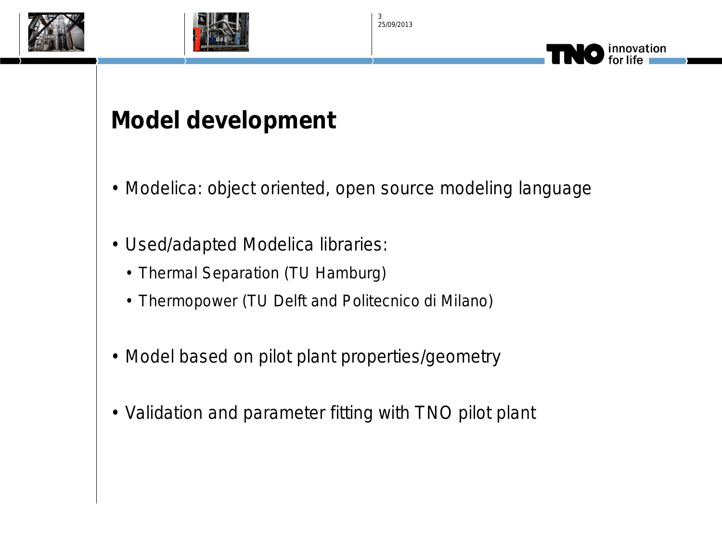





## **Model development**

- Modelica: object oriented, open source modeling language
- Used/adapted Modelica libraries:
	- Thermal Separation (TU Hamburg)
	- Thermopower (TU Delft and Politecnico di Milano)
- Model based on pilot plant properties/geometry
- Validation and parameter fitting with TNO pilot plant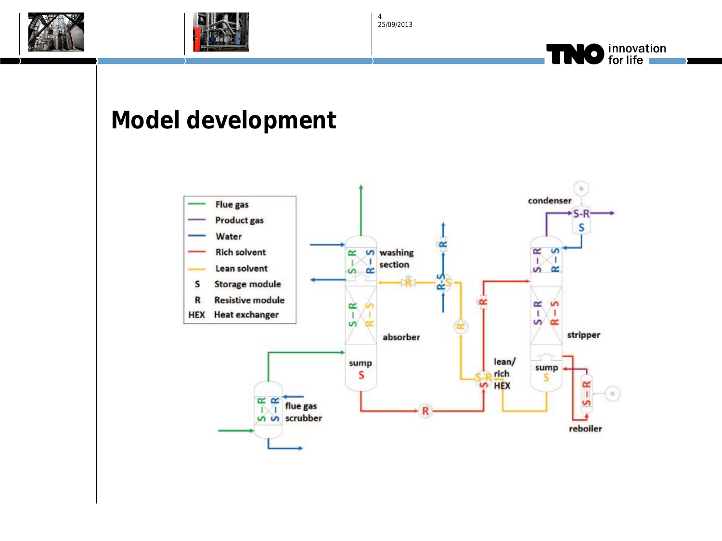





## **Model development**

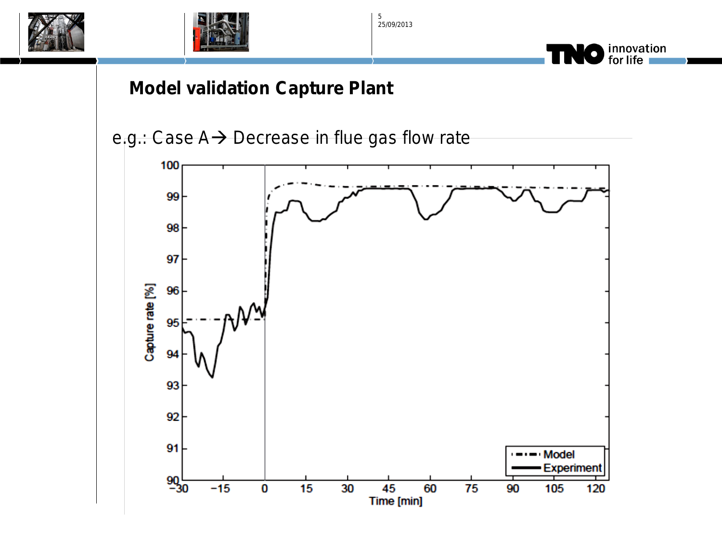



innovation<br>for life

 $\bullet$ 

#### **Model validation Capture Plant**



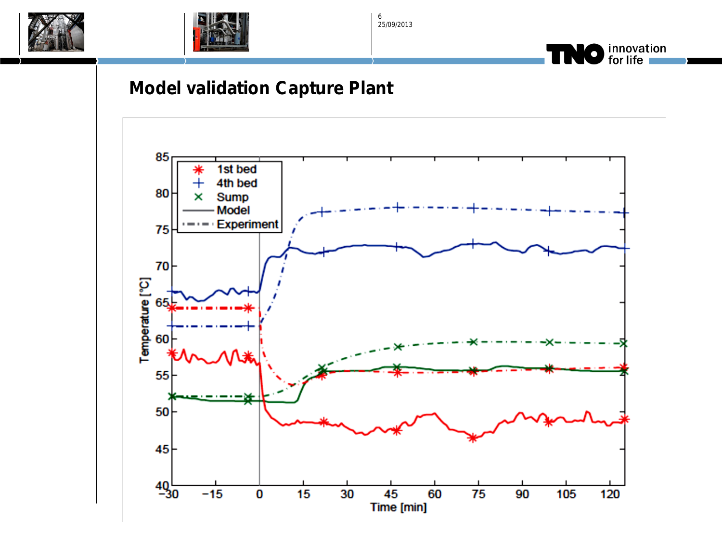





#### **Model validation Capture Plant**

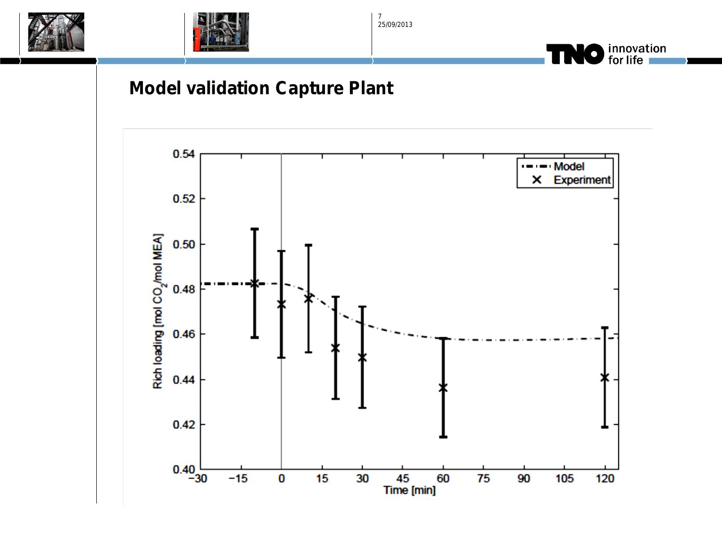





### **Model validation Capture Plant**

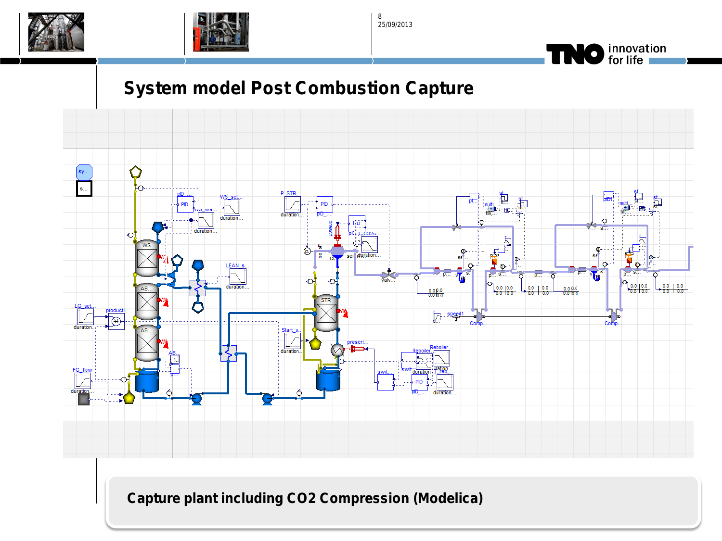





## **System model Post Combustion Capture**



**Capture plant including CO2 Compression (Modelica)**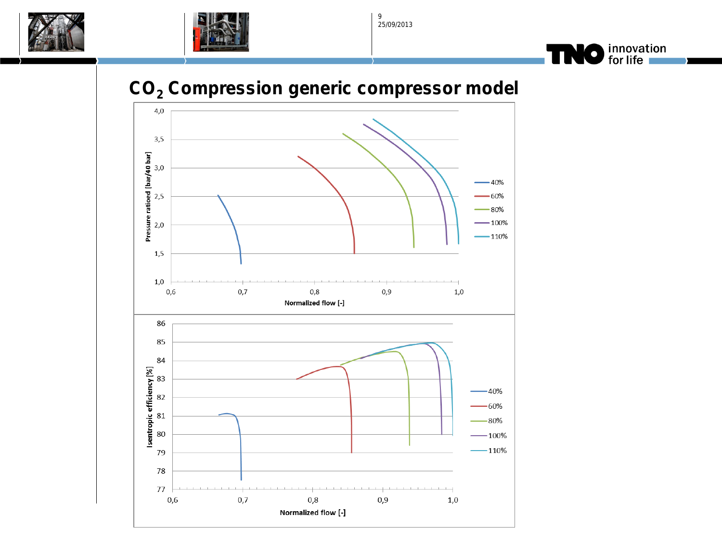





### **CO2 Compression generic compressor model**

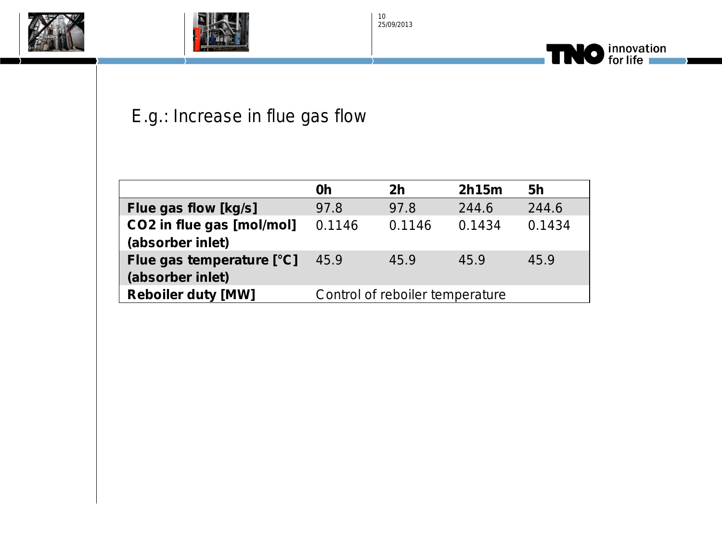





## E.g.: Increase in flue gas flow

|                                               | 0h                              | 2 <sub>h</sub> | 2h15m  | 5h     |
|-----------------------------------------------|---------------------------------|----------------|--------|--------|
| Flue gas flow [kg/s]                          | 97.8                            | 97.8           | 244.6  | 244.6  |
| CO2 in flue gas [mol/mol]<br>(absorber inlet) | 0.1146                          | 0.1146         | 0.1434 | 0.1434 |
| Flue gas temperature [°C]<br>(absorber inlet) | 45.9                            | 45.9           | 45.9   | 45.9   |
| <b>Reboiler duty [MW]</b>                     | Control of reboiler temperature |                |        |        |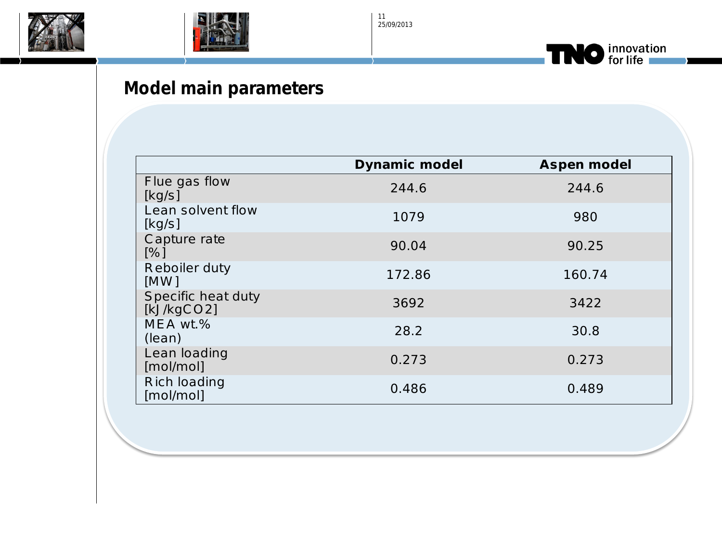





## **Model main parameters**

|                                  | <b>Dynamic model</b> | <b>Aspen model</b> |
|----------------------------------|----------------------|--------------------|
| Flue gas flow<br>[kg/s]          | 244.6                | 244.6              |
| Lean solvent flow<br>[kg/s]      | 1079                 | 980                |
| Capture rate<br>[%]              | 90.04                | 90.25              |
| <b>Reboiler duty</b><br>[MW]     | 172.86               | 160.74             |
| Specific heat duty<br>[kJ/kgCO2] | 3692                 | 3422               |
| MEA wt.%<br>(lean)               | 28.2                 | 30.8               |
| Lean loading<br>[mol/mol]        | 0.273                | 0.273              |
| <b>Rich loading</b><br>[mol/mol] | 0.486                | 0.489              |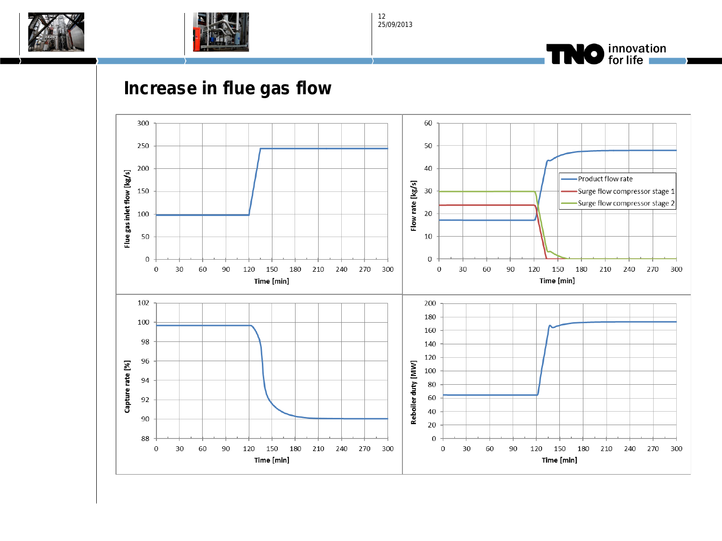





#### **Increase in flue gas flow**

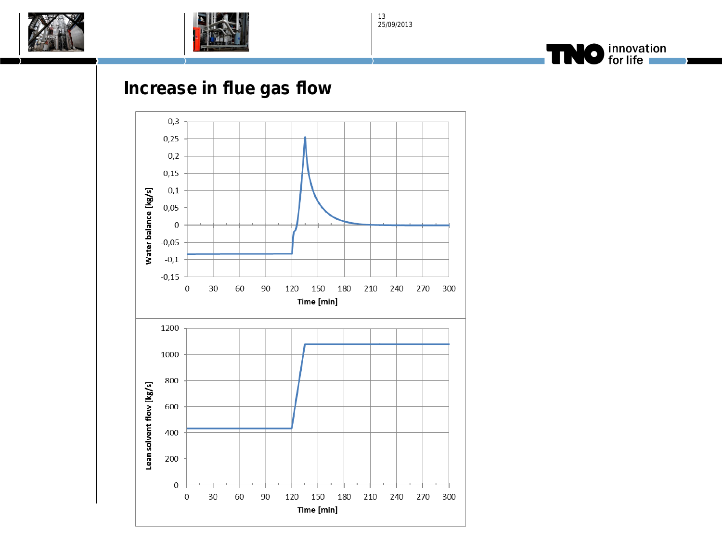





#### **Increase in flue gas flow**

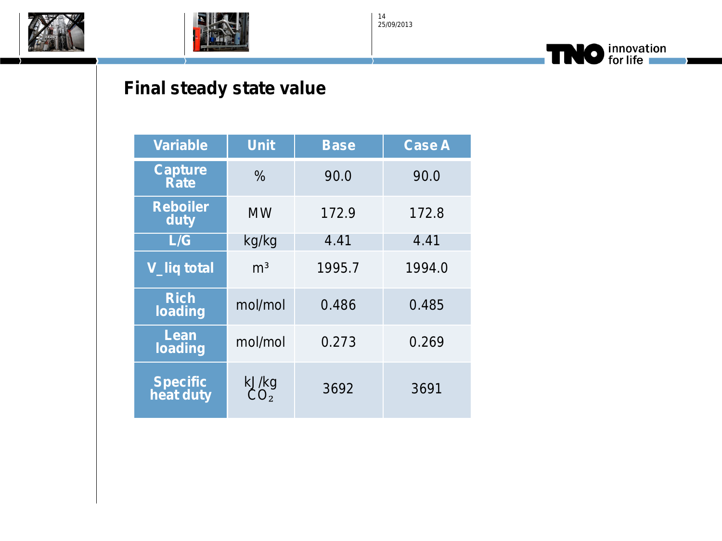





## **Final steady state value**

| <b>Variable</b>               | <b>Unit</b>       | <b>Base</b> | <b>Case A</b> |
|-------------------------------|-------------------|-------------|---------------|
| <b>Capture</b><br><b>Rate</b> | $\frac{0}{0}$     | 90.0        | 90.0          |
| <b>Reboiler</b><br>duty       | MW                | 172.9       | 172.8         |
| L/G                           | kg/kg             | 4.41        | 4.41          |
| <b>V_liq total</b>            | m <sup>3</sup>    | 1995.7      | 1994.0        |
| <b>Rich</b><br>loading        | mol/mol           | 0.486       | 0.485         |
| Lean<br>loading               | mol/mol           | 0.273       | 0.269         |
| <b>Specific</b><br>heat duty  | kJ/kg<br>$CO_{2}$ | 3692        | 3691          |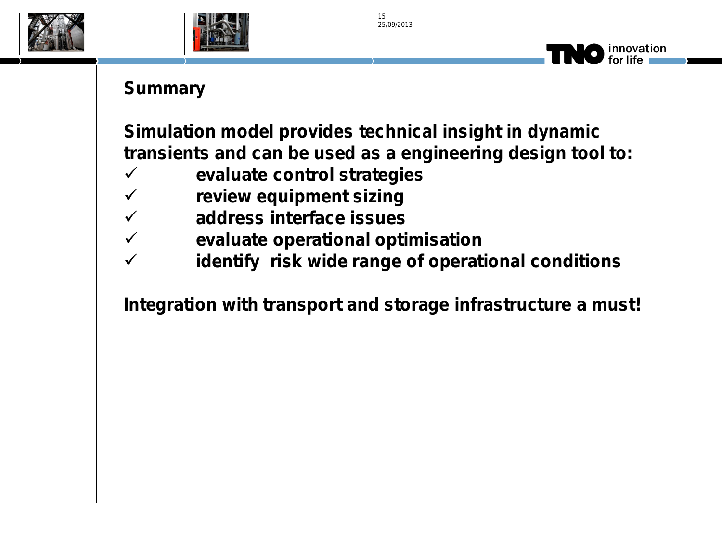





### **Summary**

**Simulation model provides technical insight in dynamic transients and can be used as a engineering design tool to:**

- **evaluate control strategies**
- **review equipment sizing**
- **address interface issues**
- **evaluate operational optimisation**
- **identify risk wide range of operational conditions**

**Integration with transport and storage infrastructure a must!**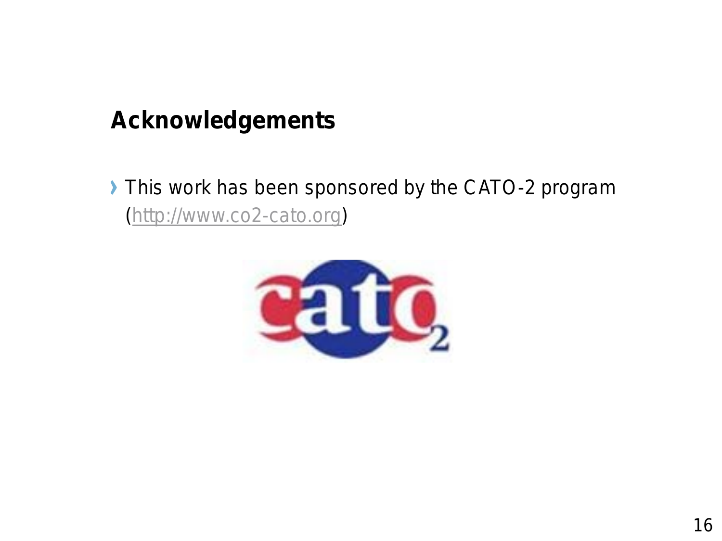## **Acknowledgements**

This work has been sponsored by the CATO-2 program (*[http://www.co2-cato.org](http://www.co2-cato.org/)*)